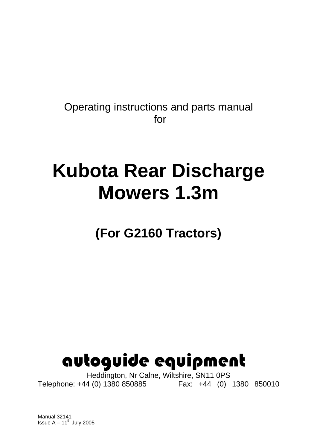Operating instructions and parts manual for

## **Kubota Rear Discharge Mowers 1.3m**

**(For G2160 Tractors)** 

## autoguide equipment

Heddington, Nr Calne, Wiltshire, SN11 0PS Telephone: +44 (0) 1380 850885 Fax: +44 (0) 1380 850010

Manual 32141 Issue  $A - 11^{th}$  July 2005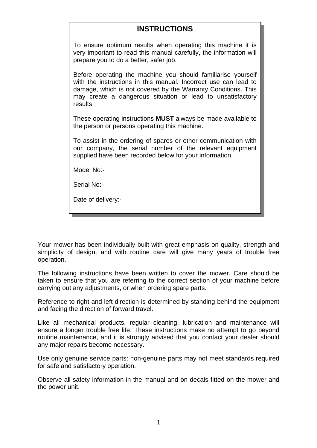#### **INSTRUCTIONS**

To ensure optimum results when operating this machine it is very important to read this manual carefully, the information will prepare you to do a better, safer job.

Before operating the machine you should familiarise yourself with the instructions in this manual. Incorrect use can lead to damage, which is not covered by the Warranty Conditions. This may create a dangerous situation or lead to unsatisfactory results.

These operating instructions **MUST** always be made available to the person or persons operating this machine.

To assist in the ordering of spares or other communication with our company, the serial number of the relevant equipment supplied have been recorded below for your information.

Model No:-

Serial No:-

Date of delivery:-

Your mower has been individually built with great emphasis on quality, strength and simplicity of design, and with routine care will give many years of trouble free operation.

The following instructions have been written to cover the mower. Care should be taken to ensure that you are referring to the correct section of your machine before carrying out any adjustments, or when ordering spare parts.

Reference to right and left direction is determined by standing behind the equipment and facing the direction of forward travel.

Like all mechanical products, regular cleaning, lubrication and maintenance will ensure a longer trouble free life. These instructions make no attempt to go beyond routine maintenance, and it is strongly advised that you contact your dealer should any major repairs become necessary.

Use only genuine service parts: non-genuine parts may not meet standards required for safe and satisfactory operation.

Observe all safety information in the manual and on decals fitted on the mower and the power unit.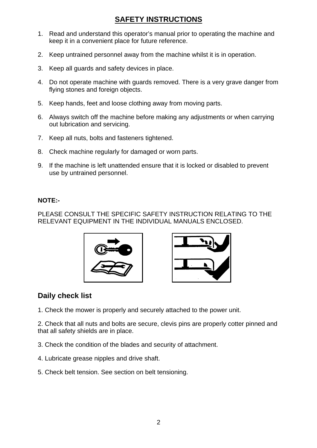### **SAFETY INSTRUCTIONS**

- 1. Read and understand this operator's manual prior to operating the machine and keep it in a convenient place for future reference.
- 2. Keep untrained personnel away from the machine whilst it is in operation.
- 3. Keep all guards and safety devices in place.
- 4. Do not operate machine with guards removed. There is a very grave danger from flying stones and foreign objects.
- 5. Keep hands, feet and loose clothing away from moving parts.
- 6. Always switch off the machine before making any adjustments or when carrying out lubrication and servicing.
- 7. Keep all nuts, bolts and fasteners tightened.
- 8. Check machine regularly for damaged or worn parts.
- 9. If the machine is left unattended ensure that it is locked or disabled to prevent use by untrained personnel.

#### **NOTE:-**

PLEASE CONSULT THE SPECIFIC SAFETY INSTRUCTION RELATING TO THE RELEVANT EQUIPMENT IN THE INDIVIDUAL MANUALS ENCLOSED.





#### **Daily check list**

1. Check the mower is properly and securely attached to the power unit.

2. Check that all nuts and bolts are secure, clevis pins are properly cotter pinned and that all safety shields are in place.

- 3. Check the condition of the blades and security of attachment.
- 4. Lubricate grease nipples and drive shaft.
- 5. Check belt tension. See section on belt tensioning.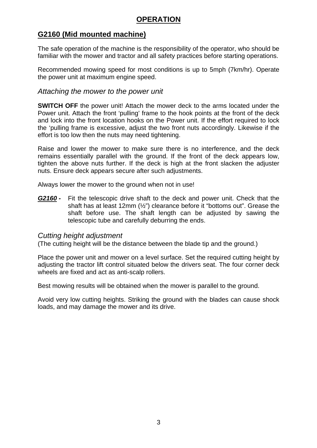#### **G2160 (Mid mounted machine)**

The safe operation of the machine is the responsibility of the operator, who should be familiar with the mower and tractor and all safety practices before starting operations.

Recommended mowing speed for most conditions is up to 5mph (7km/hr). Operate the power unit at maximum engine speed.

#### *Attaching the mower to the power unit*

**SWITCH OFF** the power unit! Attach the mower deck to the arms located under the Power unit. Attach the front 'pulling' frame to the hook points at the front of the deck and lock into the front location hooks on the Power unit. If the effort required to lock the 'pulling frame is excessive, adjust the two front nuts accordingly. Likewise if the effort is too low then the nuts may need tightening.

Raise and lower the mower to make sure there is no interference, and the deck remains essentially parallel with the ground. If the front of the deck appears low, tighten the above nuts further. If the deck is high at the front slacken the adjuster nuts. Ensure deck appears secure after such adjustments.

Always lower the mower to the ground when not in use!

*G2160 -* Fit the telescopic drive shaft to the deck and power unit. Check that the shaft has at least 12mm (½") clearance before it "bottoms out". Grease the shaft before use. The shaft length can be adjusted by sawing the telescopic tube and carefully deburring the ends.

#### *Cutting height adjustment*

(The cutting height will be the distance between the blade tip and the ground.)

Place the power unit and mower on a level surface. Set the required cutting height by adjusting the tractor lift control situated below the drivers seat. The four corner deck wheels are fixed and act as anti-scalp rollers.

Best mowing results will be obtained when the mower is parallel to the ground.

Avoid very low cutting heights. Striking the ground with the blades can cause shock loads, and may damage the mower and its drive.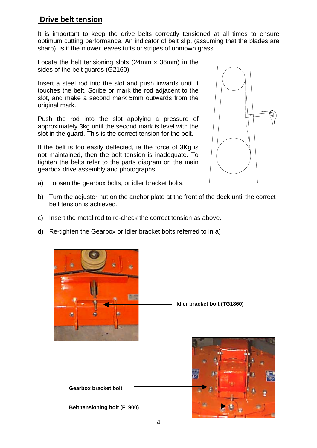#### **Drive belt tension**

It is important to keep the drive belts correctly tensioned at all times to ensure optimum cutting performance. An indicator of belt slip, (assuming that the blades are sharp), is if the mower leaves tufts or stripes of unmown grass.

Locate the belt tensioning slots (24mm x 36mm) in the sides of the belt guards (G2160)

Insert a steel rod into the slot and push inwards until it touches the belt. Scribe or mark the rod adjacent to the slot, and make a second mark 5mm outwards from the original mark.

Push the rod into the slot applying a pressure of approximately 3kg until the second mark is level with the slot in the guard. This is the correct tension for the belt.

If the belt is too easily deflected, ie the force of 3Kg is not maintained, then the belt tension is inadequate. To tighten the belts refer to the parts diagram on the main gearbox drive assembly and photographs:

- 
- a) Loosen the gearbox bolts, or idler bracket bolts.
- b) Turn the adjuster nut on the anchor plate at the front of the deck until the correct belt tension is achieved.
- c) Insert the metal rod to re-check the correct tension as above.
- d) Re-tighten the Gearbox or Idler bracket bolts referred to in a)

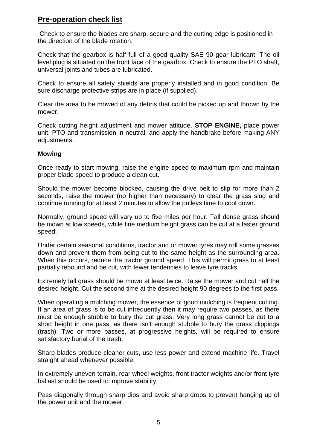#### **Pre-operation check list**

Check to ensure the blades are sharp, secure and the cutting edge is positioned in the direction of the blade rotation.

Check that the gearbox is half full of a good quality SAE 90 gear lubricant. The oil level plug is situated on the front face of the gearbox. Check to ensure the PTO shaft, universal joints and tubes are lubricated.

Check to ensure all safety shields are properly installed and in good condition. Be sure discharge protective strips are in place (if supplied).

Clear the area to be mowed of any debris that could be picked up and thrown by the mower.

Check cutting height adjustment and mower attitude. **STOP ENGINE,** place power unit, PTO and transmission in neutral, and apply the handbrake before making ANY adjustments.

#### **Mowing**

Once ready to start mowing, raise the engine speed to maximum rpm and maintain proper blade speed to produce a clean cut.

Should the mower become blocked, causing the drive belt to slip for more than 2 seconds, raise the mower (no higher than necessary) to clear the grass slug and continue running for at least 2 minutes to allow the pulleys time to cool down.

Normally, ground speed will vary up to five miles per hour. Tall dense grass should be mown at low speeds, while fine medium height grass can be cut at a faster ground speed.

Under certain seasonal conditions, tractor and or mower tyres may roll some grasses down and prevent them from being cut to the same height as the surrounding area. When this occurs, reduce the tractor ground speed. This will permit grass to at least partially rebound and be cut, with fewer tendencies to leave tyre tracks.

Extremely tall grass should be mown at least twice. Raise the mower and cut half the desired height. Cut the second time at the desired height 90 degrees to the first pass.

When operating a mulching mower, the essence of good mulching is frequent cutting. If an area of grass is to be cut infrequently then it may require two passes, as there must be enough stubble to bury the cut grass. Very long grass cannot be cut to a short height in one pass, as there isn't enough stubble to bury the grass clippings (trash). Two or more passes, at progressive heights, will be required to ensure satisfactory burial of the trash.

Sharp blades produce cleaner cuts, use less power and extend machine life. Travel straight ahead whenever possible.

In extremely uneven terrain, rear wheel weights, front tractor weights and/or front tyre ballast should be used to improve stability.

Pass diagonally through sharp dips and avoid sharp drops to prevent hanging up of the power unit and the mower.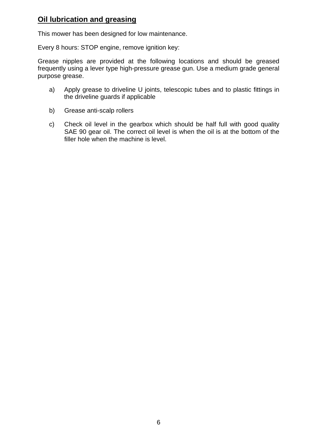#### **Oil lubrication and greasing**

This mower has been designed for low maintenance.

Every 8 hours: STOP engine, remove ignition key:

Grease nipples are provided at the following locations and should be greased frequently using a lever type high-pressure grease gun. Use a medium grade general purpose grease.

- a) Apply grease to driveline U joints, telescopic tubes and to plastic fittings in the driveline guards if applicable
- b) Grease anti-scalp rollers
- c) Check oil level in the gearbox which should be half full with good quality SAE 90 gear oil. The correct oil level is when the oil is at the bottom of the filler hole when the machine is level.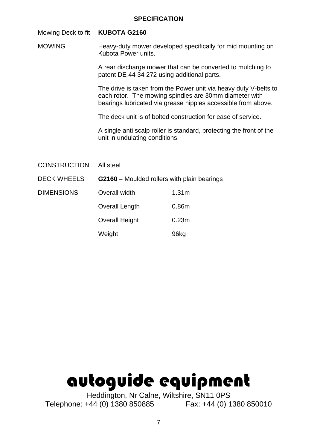#### Mowing Deck to fit **KUBOTA G2160**

MOWING Heavy-duty mower developed specifically for mid mounting on Kubota Power units.

> A rear discharge mower that can be converted to mulching to patent DE 44 34 272 using additional parts.

The drive is taken from the Power unit via heavy duty V-belts to each rotor. The mowing spindles are 30mm diameter with bearings lubricated via grease nipples accessible from above.

The deck unit is of bolted construction for ease of service.

A single anti scalp roller is standard, protecting the front of the unit in undulating conditions.

| <b>CONSTRUCTION</b> | All steel                                   |                   |
|---------------------|---------------------------------------------|-------------------|
| <b>DECK WHEELS</b>  | G2160 – Moulded rollers with plain bearings |                   |
| <b>DIMENSIONS</b>   | Overall width                               | 1.31 <sub>m</sub> |
|                     | Overall Length                              | 0.86m             |
|                     | <b>Overall Height</b>                       | 0.23 <sub>m</sub> |
|                     | Weight                                      | 96kg              |

## autoguide equipment

Heddington, Nr Calne, Wiltshire, SN11 0PS Telephone: +44 (0) 1380 850885 Fax: +44 (0) 1380 850010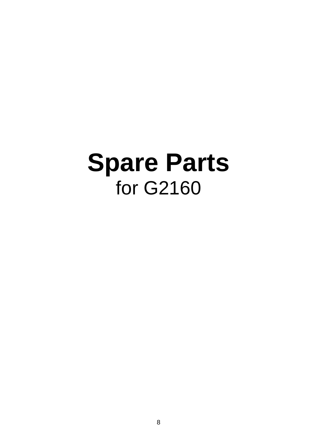# **Spare Parts** for G2160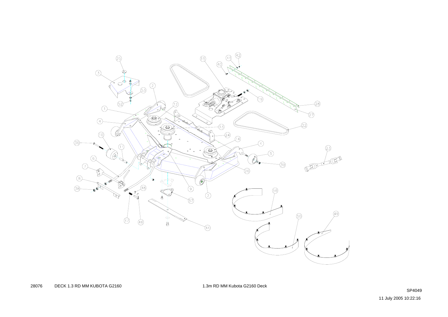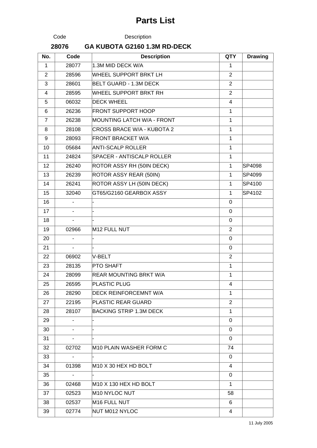|                | Code                     | Description                       |                |                |
|----------------|--------------------------|-----------------------------------|----------------|----------------|
|                | 28076                    | GA KUBOTA G2160 1.3M RD-DECK      |                |                |
| No.            | Code                     | <b>Description</b>                | <b>QTY</b>     | <b>Drawing</b> |
| $\mathbf{1}$   | 28077                    | 1.3M MID DECK W/A                 | $\mathbf{1}$   |                |
| $\overline{2}$ | 28596                    | WHEEL SUPPORT BRKT LH             | $\overline{2}$ |                |
| 3              | 28601                    | BELT GUARD - 1.3M DECK            | $\overline{2}$ |                |
| 4              | 28595                    | WHEEL SUPPORT BRKT RH             | $\overline{2}$ |                |
| 5              | 06032                    | <b>DECK WHEEL</b>                 | 4              |                |
| 6              | 26236                    | <b>FRONT SUPPORT HOOP</b>         | $\mathbf{1}$   |                |
| $\overline{7}$ | 26238                    | MOUNTING LATCH W/A - FRONT        | $\mathbf{1}$   |                |
| 8              | 28108                    | <b>CROSS BRACE W/A - KUBOTA 2</b> | $\mathbf{1}$   |                |
| 9              | 28093                    | <b>FRONT BRACKET W/A</b>          | $\mathbf{1}$   |                |
| 10             | 05684                    | <b>ANTI-SCALP ROLLER</b>          | $\mathbf{1}$   |                |
| 11             | 24824                    | <b>SPACER - ANTISCALP ROLLER</b>  | $\mathbf{1}$   |                |
| 12             | 26240                    | ROTOR ASSY RH (50IN DECK)         | $\mathbf{1}$   | SP4098         |
| 13             | 26239                    | ROTOR ASSY REAR (50IN)            | $\mathbf{1}$   | SP4099         |
| 14             | 26241                    | ROTOR ASSY LH (50IN DECK)         | $\mathbf{1}$   | SP4100         |
| 15             | 32040                    | GT65/G2160 GEARBOX ASSY           | $\mathbf{1}$   | SP4102         |
| 16             | ÷,                       |                                   | $\mathbf 0$    |                |
| 17             | ÷,                       |                                   | 0              |                |
| 18             | ÷,                       |                                   | 0              |                |
| 19             | 02966                    | M12 FULL NUT                      | $\overline{2}$ |                |
| 20             | $\overline{\phantom{a}}$ |                                   | 0              |                |
| 21             |                          |                                   | $\mathbf 0$    |                |
| 22             | 06902                    | V-BELT                            | $\overline{2}$ |                |
| 23             | 28135                    | <b>PTO SHAFT</b>                  | $\mathbf{1}$   |                |
| 24             | 28099                    | <b>REAR MOUNTING BRKT W/A</b>     | 1              |                |
| 25             | 26595                    | <b>PLASTIC PLUG</b>               | 4              |                |
| 26             | 28290                    | DECK REINFORCEMNT W/A             | $\mathbf 1$    |                |
| 27             | 22195                    | PLASTIC REAR GUARD                | $\overline{2}$ |                |
| 28             | 28107                    | <b>BACKING STRIP 1.3M DECK</b>    | $\mathbf{1}$   |                |
| 29             |                          |                                   | 0              |                |
| 30             |                          |                                   | 0              |                |
| 31             | $\blacksquare$           |                                   | 0              |                |
| 32             | 02702                    | M10 PLAIN WASHER FORM C           | 74             |                |
| 33             | $\sim$                   |                                   | 0              |                |
| 34             | 01398                    | M <sub>10</sub> X 30 HEX HD BOLT  | $\overline{4}$ |                |
| 35             |                          |                                   | 0              |                |
|                |                          | M <sub>10</sub> X 130 HEX HD BOLT | $\mathbf 1$    |                |
| 37             |                          | M10 NYLOC NUT                     | 58             |                |
| 38             | 02537                    |                                   | 6              |                |
|                |                          |                                   |                |                |
| 36<br>39       | 02468<br>02523<br>02774  | M16 FULL NUT<br>NUT M012 NYLOC    | 4              |                |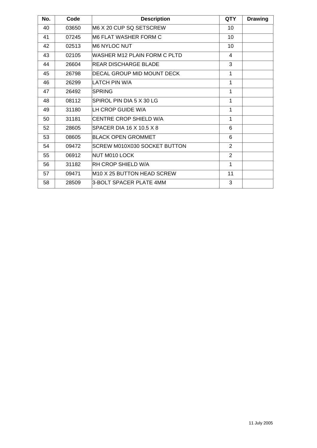| No. | Code  | <b>Description</b>                | <b>QTY</b>     | <b>Drawing</b> |
|-----|-------|-----------------------------------|----------------|----------------|
| 40  | 03650 | IM6 X 20 CUP SQ SETSCREW          | 10             |                |
| 41  | 07245 | IM6 FLAT WASHER FORM C            | 10             |                |
| 42  | 02513 | M6 NYLOC NUT                      | 10             |                |
| 43  | 02105 | WASHER M12 PLAIN FORM C PLTD      | 4              |                |
| 44  | 26604 | IREAR DISCHARGE BLADE             | 3              |                |
| 45  | 26798 | <b>DECAL GROUP MID MOUNT DECK</b> | 1              |                |
| 46  | 26299 | LATCH PIN W/A                     | 1              |                |
| 47  | 26492 | <b>ISPRING</b>                    | 1              |                |
| 48  | 08112 | SPIROL PIN DIA 5 X 30 LG          | 1              |                |
| 49  | 31180 | ILH CROP GUIDE W/A                | 1              |                |
| 50  | 31181 | <b>CENTRE CROP SHIELD W/A</b>     | 1              |                |
| 52  | 28605 | SPACER DIA 16 X 10.5 X 8          | 6              |                |
| 53  | 08605 | IBLACK OPEN GROMMET               | 6              |                |
| 54  | 09472 | SCREW M010X030 SOCKET BUTTON      | $\overline{2}$ |                |
| 55  | 06912 | NUT M010 LOCK                     | $\overline{2}$ |                |
| 56  | 31182 | IRH CROP SHIELD W/A               | 1              |                |
| 57  | 09471 | IM10 X 25 BUTTON HEAD SCREW       | 11             |                |
| 58  | 28509 | 3-BOLT SPACER PLATE 4MM           | 3              |                |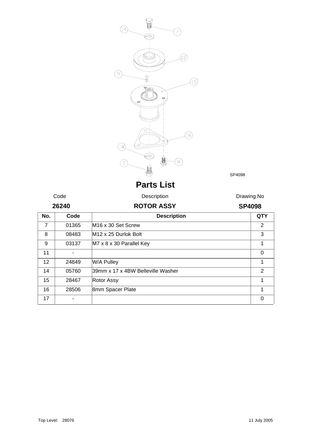|                |       | $\hat{1}4$<br>$\overline{7}$<br>Œ<br>2<br>$\bigcirc$<br>15<br>(16)<br>$\bigcirc$<br>14<br>⊕<br>\$<br>$\left[8\right]$<br>SP4098<br><b>Parts List</b> |                |
|----------------|-------|------------------------------------------------------------------------------------------------------------------------------------------------------|----------------|
|                | Code  | Drawing No<br>Description                                                                                                                            |                |
|                | 26240 | <b>ROTOR ASSY</b><br><b>SP4098</b>                                                                                                                   |                |
| No.            | Code  | <b>Description</b>                                                                                                                                   | <b>QTY</b>     |
| $\overline{7}$ | 01365 | M <sub>16</sub> x 30 Set Screw                                                                                                                       | $\overline{2}$ |
| 8              | 08483 | M12 x 25 Durlok Bolt                                                                                                                                 | 3              |
| 9              | 03137 | M7 x 8 x 30 Parallel Key                                                                                                                             | 1              |
| 11             | ۰     |                                                                                                                                                      | $\mathbf 0$    |
| 12             | 24849 | W/A Pulley                                                                                                                                           | $\mathbf{1}$   |
| 14             | 05760 | 39mm x 17 x 4BW Belleville Washer                                                                                                                    | $\overline{2}$ |
| 15             | 28467 | Rotor Assy                                                                                                                                           | $\mathbf{1}$   |
| 16             | 28506 | 8mm Spacer Plate                                                                                                                                     | $\mathbf{1}$   |
| $17 \,$        |       |                                                                                                                                                      | $\pmb{0}$      |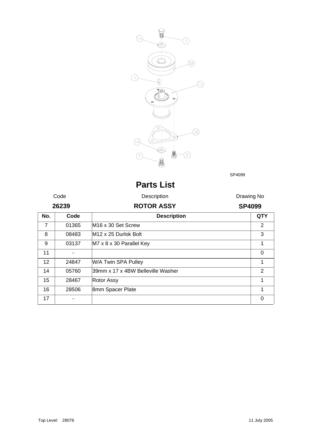

SP4099

|                | Code  | Description                          | Drawing No    |
|----------------|-------|--------------------------------------|---------------|
| 26239          |       | <b>ROTOR ASSY</b>                    | <b>SP4099</b> |
| No.            | Code  | <b>Description</b>                   | <b>QTY</b>    |
| $\overline{7}$ | 01365 | M <sub>16</sub> x 30 Set Screw       | 2             |
| 8              | 08483 | M <sub>12</sub> x 25 Durlok Bolt     | 3             |
| 9              | 03137 | $M7 \times 8 \times 30$ Parallel Key | 1             |
| 11             |       |                                      | $\Omega$      |
| 12             | 24847 | W/A Twin SPA Pulley                  | 1             |
| 14             | 05760 | 39mm x 17 x 4BW Belleville Washer    | $\mathcal{P}$ |
| 15             | 28467 | <b>Rotor Assy</b>                    | 1             |
| 16             | 28506 | 8mm Spacer Plate                     | 1             |
| 17             |       |                                      | ∩             |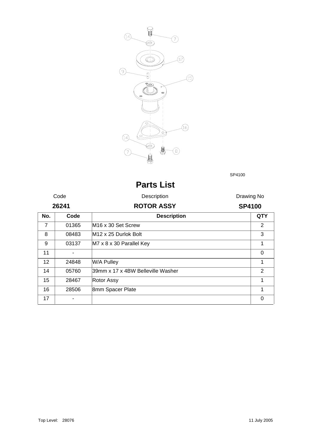

SP4100

|                 | Code  | Description                       | Drawing No    |
|-----------------|-------|-----------------------------------|---------------|
| 26241           |       | <b>ROTOR ASSY</b>                 | <b>SP4100</b> |
| No.             | Code  | <b>Description</b>                | <b>QTY</b>    |
| $\overline{7}$  | 01365 | M <sub>16</sub> x 30 Set Screw    | 2             |
| 8               | 08483 | M <sub>12</sub> x 25 Durlok Bolt  | 3             |
| 9               | 03137 | M7 x 8 x 30 Parallel Key          | 1             |
| 11              |       |                                   | $\Omega$      |
| 12 <sup>2</sup> | 24848 | W/A Pulley                        | 1             |
| 14              | 05760 | 39mm x 17 x 4BW Belleville Washer | 2             |
| 15              | 28467 | <b>Rotor Assy</b>                 | 1             |
| 16              | 28506 | 8mm Spacer Plate                  | 1             |
| 17              |       |                                   | ∩             |